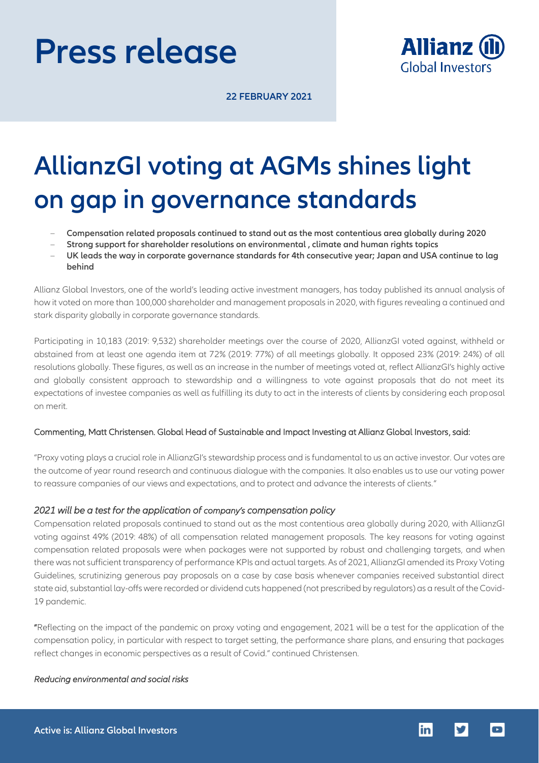# **Press release**



**22 FEBRUARY 2021**

## **AllianzGI voting at AGMs shines light on gap in governance standards**

- **Compensation related proposals continued to stand out as the most contentious area globally during 2020**
- **Strong support for shareholder resolutions on environmental , climate and human rights topics**
- **UK leads the way in corporate governance standards for 4th consecutive year; Japan and USA continue to lag behind**

Allianz Global Investors, one of the world's leading active investment managers, has today published its annual analysis of how it voted on more than 100,000 shareholder and management proposals in 2020, with figures revealing a continued and stark disparity globally in corporate governance standards.

Participating in 10,183 (2019: 9,532) shareholder meetings over the course of 2020, AllianzGI voted against, withheld or abstained from at least one agenda item at 72% (2019: 77%) of all meetings globally. It opposed 23% (2019: 24%) of all resolutions globally. These figures, as well as an increase in the number of meetings voted at, reflect AllianzGI's highly active and globally consistent approach to stewardship and a willingness to vote against proposals that do not meet its expectations of investee companies as well as fulfilling its duty to act in the interests of clients by considering each proposal on merit.

## Commenting, Matt Christensen. Global Head of Sustainable and Impact Investing at Allianz Global Investors, said:

"Proxy voting plays a crucial role in AllianzGI's stewardship process and is fundamental to us an active investor. Our votes are the outcome of year round research and continuous dialogue with the companies. It also enables us to use our voting power to reassure companies of our views and expectations, and to protect and advance the interests of clients."

## *2021 will be a test for the application of company's compensation policy*

Compensation related proposals continued to stand out as the most contentious area globally during 2020, with AllianzGI voting against 49% (2019: 48%) of all compensation related management proposals. The key reasons for voting against compensation related proposals were when packages were not supported by robust and challenging targets, and when there was not sufficient transparency of performance KPIs and actual targets. As of 2021, AllianzGI amended its Proxy Voting Guidelines, scrutinizing generous pay proposals on a case by case basis whenever companies received substantial direct state aid, substantial lay-offs were recorded or dividend cuts happened (not prescribed by regulators) as a result of the Covid-19 pandemic.

"Reflecting on the impact of the pandemic on proxy voting and engagement, 2021 will be a test for the application of the compensation policy, in particular with respect to target setting, the performance share plans, and ensuring that packages reflect changes in economic perspectives as a result of Covid." continued Christensen.

## *Reducing environmental and social risks*

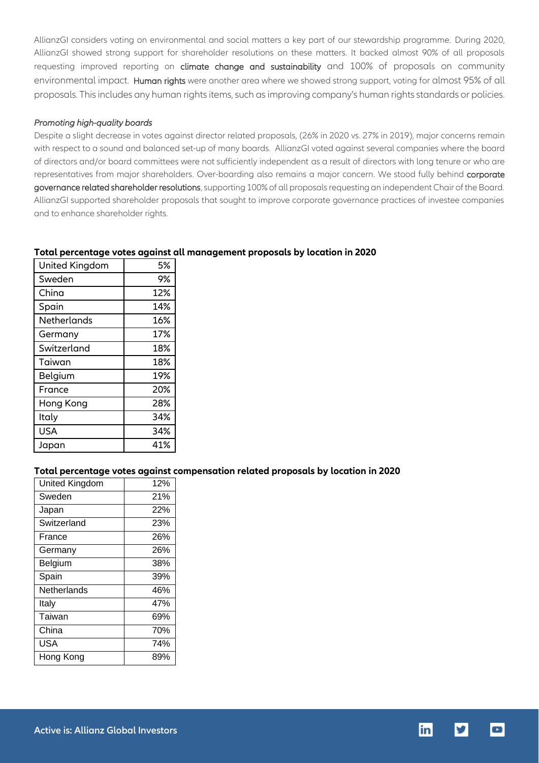AllianzGI considers voting on environmental and social matters a key part of our stewardship programme. During 2020, AllianzGI showed strong support for shareholder resolutions on these matters. It backed almost 90% of all proposals requesting improved reporting on climate change and sustainability and 100% of proposals on community environmental impact. Human rights were another area where we showed strong support, voting for almost 95% of all proposals. This includes any human rights items, such asimproving company's human rights standards or policies.

## *Promoting high-quality boards*

Despite a slight decrease in votes against director related proposals, (26% in 2020 vs. 27% in 2019), major concerns remain with respect to a sound and balanced set-up of many boards. AllianzGI voted against several companies where the board of directors and/or board committees were not sufficiently independent as a result of directors with long tenure or who are representatives from major shareholders. Over-boarding also remains a major concern. We stood fully behind corporate governance related shareholder resolutions, supporting 100% of all proposals requesting an independent Chair of the Board. AllianzGI supported shareholder proposals that sought to improve corporate governance practices of investee companies and to enhance shareholder rights.

| United Kingdom | 5%  |
|----------------|-----|
| Sweden         | 9%  |
| China          | 12% |
| Spain          | 14% |
| Netherlands    | 16% |
| Germany        | 17% |
| Switzerland    | 18% |
| Taiwan         | 18% |
| Belgium        | 19% |
| France         | 20% |
| Hong Kong      | 28% |
| Italy          | 34% |
| <b>USA</b>     | 34% |
| Japan          | 41% |

## **Total percentage votes against all management proposals by location in 2020**

## **Total percentage votes against compensation related proposals by location in 2020**

| United Kingdom | 12% |
|----------------|-----|
| Sweden         | 21% |
| Japan          | 22% |
| Switzerland    | 23% |
| France         | 26% |
| Germany        | 26% |
| Belgium        | 38% |
| Spain          | 39% |
| Netherlands    | 46% |
| Italy          | 47% |
| Taiwan         | 69% |
| China          | 70% |
| USA            | 74% |
| Hong Kong      | 89% |



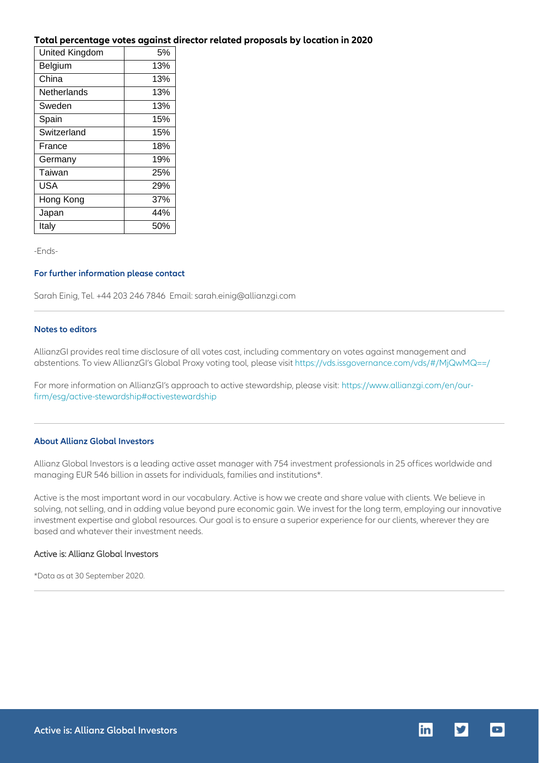## **Total percentage votes against director related proposals by location in 2020**

| United Kingdom | 5%  |
|----------------|-----|
| Belgium        | 13% |
| China          | 13% |
| Netherlands    | 13% |
| Sweden         | 13% |
| Spain          | 15% |
| Switzerland    | 15% |
| France         | 18% |
| Germany        | 19% |
| Taiwan         | 25% |
| USA            | 29% |
| Hong Kong      | 37% |
| Japan          | 44% |
| Italy          | 50% |

-Ends-

## **For further information please contact**

Sarah Einig, Tel. +44 203 246 7846 Email: sarah.einig@allianzgi.com

### **Notes to editors**

AllianzGI provides real time disclosure of all votes cast, including commentary on votes against management and abstentions. To view AllianzGI's Global Proxy voting tool, please visit<https://vds.issgovernance.com/vds/#/MjQwMQ==/>

For more information on AllianzGI's approach to active stewardship, please visit: [https://www.allianzgi.com/en/our](https://www.allianzgi.com/en/our-firm/esg/active-stewardship#activestewardship)[firm/esg/active-stewardship#activestewardship](https://www.allianzgi.com/en/our-firm/esg/active-stewardship#activestewardship)

## **About Allianz Global Investors**

Allianz Global Investors is a leading active asset manager with 754 investment professionals in 25 offices worldwide and managing EUR 546 billion in assets for individuals, families and institutions\*.

Active is the most important word in our vocabulary. Active is how we create and share value with clients. We believe in solving, not selling, and in adding value beyond pure economic gain. We invest for the long term, employing our innovative investment expertise and global resources. Our goal is to ensure a superior experience for our clients, wherever they are based and whatever their investment needs.

## Active is: Allianz Global Investors

\*Data as at 30 September 2020.